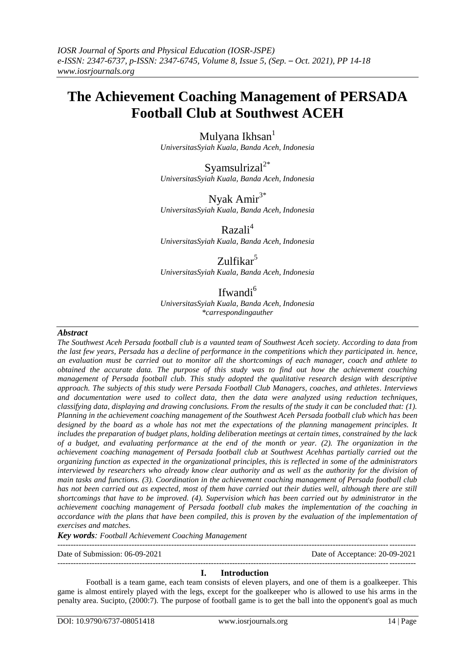# **The Achievement Coaching Management of PERSADA Football Club at Southwest ACEH**

Mulyana Ikhsan<sup>1</sup> *UniversitasSyiah Kuala, Banda Aceh, Indonesia*

Syamsulrizal $2^*$ *UniversitasSyiah Kuala, Banda Aceh, Indonesia*

Nyak Ami $r^{3*}$ *UniversitasSyiah Kuala, Banda Aceh, Indonesia*

Razali<sup>4</sup>

*UniversitasSyiah Kuala, Banda Aceh, Indonesia*

# Zulfikar<sup>5</sup>

*UniversitasSyiah Kuala, Banda Aceh, Indonesia*

# Ifwandi<sup>6</sup>

*UniversitasSyiah Kuala, Banda Aceh, Indonesia \*carrespondingauther*

#### *Abstract*

*The Southwest Aceh Persada football club is a vaunted team of Southwest Aceh society. According to data from the last few years, Persada has a decline of performance in the competitions which they participated in. hence, an evaluation must be carried out to monitor all the shortcomings of each manager, coach and athlete to obtained the accurate data. The purpose of this study was to find out how the achievement couching management of Persada football club. This study adopted the qualitative research design with descriptive approach. The subjects of this study were Persada Football Club Managers, coaches, and athletes. Interviews and documentation were used to collect data, then the data were analyzed using reduction techniques, classifying data, displaying and drawing conclusions. From the results of the study it can be concluded that: (1). Planning in the achievement coaching management of the Southwest Aceh Persada football club which has been designed by the board as a whole has not met the expectations of the planning management principles. It includes the preparation of budget plans, holding deliberation meetings at certain times, constrained by the lack of a budget, and evaluating performance at the end of the month or year. (2). The organization in the achievement coaching management of Persada football club at Southwest Acehhas partially carried out the organizing function as expected in the organizational principles, this is reflected in some of the administrators interviewed by researchers who already know clear authority and as well as the authority for the division of main tasks and functions. (3). Coordination in the achievement coaching management of Persada football club has not been carried out as expected, most of them have carried out their duties well, although there are still shortcomings that have to be improved. (4). Supervision which has been carried out by administrator in the achievement coaching management of Persada football club makes the implementation of the coaching in accordance with the plans that have been compiled, this is proven by the evaluation of the implementation of exercises and matches.*

*Key words: Football Achievement Coaching Management*

---------------------------------------------------------------------------------------------------------------------------------------

Date of Submission: 06-09-2021 Date of Acceptance: 20-09-2021

#### --------------------------------------------------------------------------------------------------------------------------------------- **I. Introduction**

Football is a team game, each team consists of eleven players, and one of them is a goalkeeper. This game is almost entirely played with the legs, except for the goalkeeper who is allowed to use his arms in the penalty area. Sucipto, (2000:7). The purpose of football game is to get the ball into the opponent's goal as much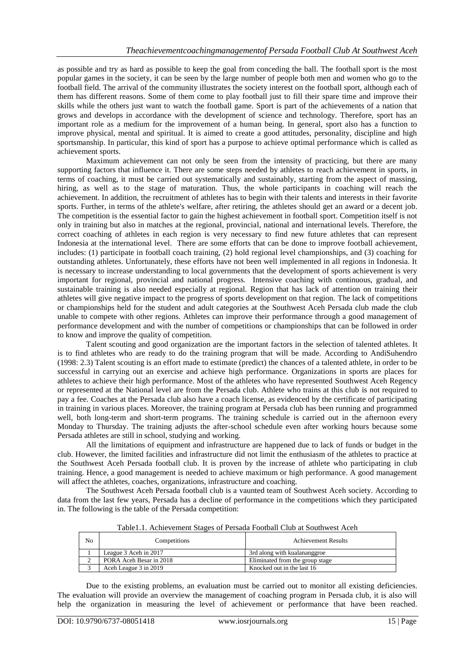as possible and try as hard as possible to keep the goal from conceding the ball. The football sport is the most popular games in the society, it can be seen by the large number of people both men and women who go to the football field. The arrival of the community illustrates the society interest on the football sport, although each of them has different reasons. Some of them come to play football just to fill their spare time and improve their skills while the others just want to watch the football game. Sport is part of the achievements of a nation that grows and develops in accordance with the development of science and technology. Therefore, sport has an important role as a medium for the improvement of a human being. In general, sport also has a function to improve physical, mental and spiritual. It is aimed to create a good attitudes, personality, discipline and high sportsmanship. In particular, this kind of sport has a purpose to achieve optimal performance which is called as achievement sports.

Maximum achievement can not only be seen from the intensity of practicing, but there are many supporting factors that influence it. There are some steps needed by athletes to reach achievement in sports, in terms of coaching, it must be carried out systematically and sustainably, starting from the aspect of massing, hiring, as well as to the stage of maturation. Thus, the whole participants in coaching will reach the achievement. In addition, the recruitment of athletes has to begin with their talents and interests in their favorite sports. Further, in terms of the athlete's welfare, after retiring, the athletes should get an award or a decent job. The competition is the essential factor to gain the highest achievement in football sport. Competition itself is not only in training but also in matches at the regional, provincial, national and international levels. Therefore, the correct coaching of athletes in each region is very necessary to find new future athletes that can represent Indonesia at the international level. There are some efforts that can be done to improve football achievement, includes: (1) participate in football coach training, (2) hold regional level championships, and (3) coaching for outstanding athletes. Unfortunately, these efforts have not been well implemented in all regions in Indonesia. It is necessary to increase understanding to local governments that the development of sports achievement is very important for regional, provincial and national progress. Intensive coaching with continuous, gradual, and sustainable training is also needed especially at regional. Region that has lack of attention on training their athletes will give negative impact to the progress of sports development on that region. The lack of competitions or championships held for the student and adult categories at the Southwest Aceh Persada club made the club unable to compete with other regions. Athletes can improve their performance through a good management of performance development and with the number of competitions or championships that can be followed in order to know and improve the quality of competition.

Talent scouting and good organization are the important factors in the selection of talented athletes. It is to find athletes who are ready to do the training program that will be made. According to AndiSuhendro (1998: 2.3) Talent scouting is an effort made to estimate (predict) the chances of a talented athlete, in order to be successful in carrying out an exercise and achieve high performance. Organizations in sports are places for athletes to achieve their high performance. Most of the athletes who have represented Southwest Aceh Regency or represented at the National level are from the Persada club. Athlete who trains at this club is not required to pay a fee. Coaches at the Persada club also have a coach license, as evidenced by the certificate of participating in training in various places. Moreover, the training program at Persada club has been running and programmed well, both long-term and short-term programs. The training schedule is carried out in the afternoon every Monday to Thursday. The training adjusts the after-school schedule even after working hours because some Persada athletes are still in school, studying and working.

All the limitations of equipment and infrastructure are happened due to lack of funds or budget in the club. However, the limited facilities and infrastructure did not limit the enthusiasm of the athletes to practice at the Southwest Aceh Persada football club. It is proven by the increase of athlete who participating in club training. Hence, a good management is needed to achieve maximum or high performance. A good management will affect the athletes, coaches, organizations, infrastructure and coaching.

The Southwest Aceh Persada football club is a vaunted team of Southwest Aceh society. According to data from the last few years, Persada has a decline of performance in the competitions which they participated in. The following is the table of the Persada competition:

| No | Competitions            | Achievement Results             |
|----|-------------------------|---------------------------------|
|    | League 3 Aceh in 2017   | 3rd along with kualananggroe    |
|    | PORA Aceh Besar in 2018 | Eliminated from the group stage |
|    | Aceh League 3 in 2019   | Knocked out in the last 16      |

Table1.1. Achievement Stages of Persada Football Club at Southwest Aceh

Due to the existing problems, an evaluation must be carried out to monitor all existing deficiencies. The evaluation will provide an overview the management of coaching program in Persada club, it is also will help the organization in measuring the level of achievement or performance that have been reached.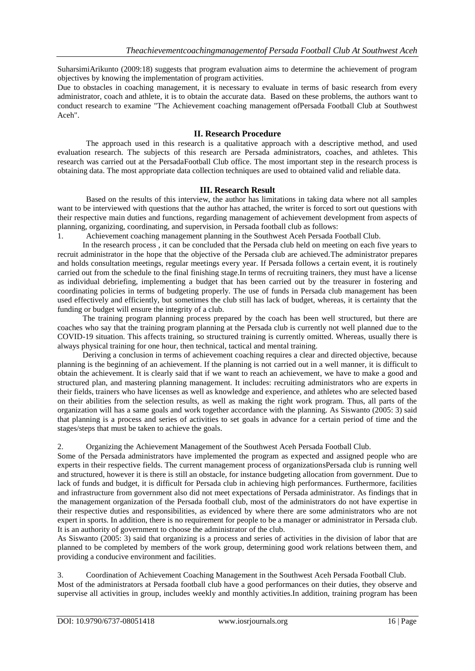SuharsimiArikunto (2009:18) suggests that program evaluation aims to determine the achievement of program objectives by knowing the implementation of program activities.

Due to obstacles in coaching management, it is necessary to evaluate in terms of basic research from every administrator, coach and athlete, it is to obtain the accurate data. Based on these problems, the authors want to conduct research to examine "The Achievement coaching management ofPersada Football Club at Southwest Aceh".

### **II. Research Procedure**

The approach used in this research is a qualitative approach with a descriptive method, and used evaluation research. The subjects of this research are Persada administrators, coaches, and athletes. This research was carried out at the PersadaFootball Club office. The most important step in the research process is obtaining data. The most appropriate data collection techniques are used to obtained valid and reliable data.

### **III. Research Result**

Based on the results of this interview, the author has limitations in taking data where not all samples want to be interviewed with questions that the author has attached, the writer is forced to sort out questions with their respective main duties and functions, regarding management of achievement development from aspects of planning, organizing, coordinating, and supervision, in Persada football club as follows:

1. Achievement coaching management planning in the Southwest Aceh Persada Football Club.

In the research process , it can be concluded that the Persada club held on meeting on each five years to recruit administrator in the hope that the objective of the Persada club are achieved.The administrator prepares and holds consultation meetings, regular meetings every year. If Persada follows a certain event, it is routinely carried out from the schedule to the final finishing stage.In terms of recruiting trainers, they must have a license as individual debriefing, implementing a budget that has been carried out by the treasurer in fostering and coordinating policies in terms of budgeting properly. The use of funds in Persada club management has been used effectively and efficiently, but sometimes the club still has lack of budget, whereas, it is certainty that the funding or budget will ensure the integrity of a club.

The training program planning process prepared by the coach has been well structured, but there are coaches who say that the training program planning at the Persada club is currently not well planned due to the COVID-19 situation. This affects training, so structured training is currently omitted. Whereas, usually there is always physical training for one hour, then technical, tactical and mental training.

Deriving a conclusion in terms of achievement coaching requires a clear and directed objective, because planning is the beginning of an achievement. If the planning is not carried out in a well manner, it is difficult to obtain the achievement. It is clearly said that if we want to reach an achievement, we have to make a good and structured plan, and mastering planning management. It includes: recruiting administrators who are experts in their fields, trainers who have licenses as well as knowledge and experience, and athletes who are selected based on their abilities from the selection results, as well as making the right work program. Thus, all parts of the organization will has a same goals and work together accordance with the planning. As Siswanto (2005: 3) said that planning is a process and series of activities to set goals in advance for a certain period of time and the stages/steps that must be taken to achieve the goals.

#### 2. Organizing the Achievement Management of the Southwest Aceh Persada Football Club.

Some of the Persada administrators have implemented the program as expected and assigned people who are experts in their respective fields. The current management process of organizationsPersada club is running well and structured, however it is there is still an obstacle, for instance budgeting allocation from government. Due to lack of funds and budget, it is difficult for Persada club in achieving high performances. Furthermore, facilities and infrastructure from government also did not meet expectations of Persada administrator. As findings that in the management organization of the Persada football club, most of the administrators do not have expertise in their respective duties and responsibilities, as evidenced by where there are some administrators who are not expert in sports. In addition, there is no requirement for people to be a manager or administrator in Persada club. It is an authority of government to choose the administrator of the club.

As Siswanto (2005: 3) said that organizing is a process and series of activities in the division of labor that are planned to be completed by members of the work group, determining good work relations between them, and providing a conducive environment and facilities.

3. Coordination of Achievement Coaching Management in the Southwest Aceh Persada Football Club. Most of the administrators at Persada football club have a good performances on their duties, they observe and supervise all activities in group, includes weekly and monthly activities.In addition, training program has been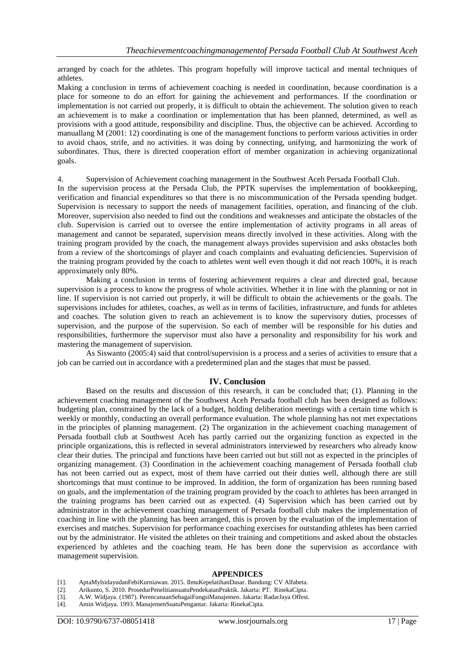arranged by coach for the athletes. This program hopefully will improve tactical and mental techniques of athletes.

Making a conclusion in terms of achievement coaching is needed in coordination, because coordination is a place for someone to do an effort for gaining the achievement and performances. If the coordination or implementation is not carried out properly, it is difficult to obtain the achievement. The solution given to reach an achievement is to make a coordination or implementation that has been planned, determined, as well as provisions with a good attitude, responsibility and discipline. Thus, the objective can be achieved. According to manuallang M (2001: 12) coordinating is one of the management functions to perform various activities in order to avoid chaos, strife, and no activities. it was doing by connecting, unifying, and harmonizing the work of subordinates. Thus, there is directed cooperation effort of member organization in achieving organizational goals.

4. Supervision of Achievement coaching management in the Southwest Aceh Persada Football Club.

In the supervision process at the Persada Club, the PPTK supervises the implementation of bookkeeping, verification and financial expenditures so that there is no miscommunication of the Persada spending budget. Supervision is necessary to support the needs of management facilities, operation, and financing of the club. Moreover, supervision also needed to find out the conditions and weaknesses and anticipate the obstacles of the club. Supervision is carried out to oversee the entire implementation of activity programs in all areas of management and cannot be separated, supervision means directly involved in these activities. Along with the training program provided by the coach, the management always provides supervision and asks obstacles both from a review of the shortcomings of player and coach complaints and evaluating deficiencies. Supervision of the training program provided by the coach to athletes went well even though it did not reach 100%, it is reach approximately only 80%.

Making a conclusion in terms of fostering achievement requires a clear and directed goal, because supervision is a process to know the progress of whole activities. Whether it in line with the planning or not in line. If supervision is not carried out properly, it will be difficult to obtain the achievements or the goals. The supervisions includes for athletes, coaches, as well as in terms of facilities, infrastructure, and funds for athletes and coaches. The solution given to reach an achievement is to know the supervisory duties, processes of supervision, and the purpose of the supervision. So each of member will be responsible for his duties and responsibilities, furthermore the supervisor must also have a personality and responsibility for his work and mastering the management of supervision.

As Siswanto (2005:4) said that control/supervision is a process and a series of activities to ensure that a job can be carried out in accordance with a predetermined plan and the stages that must be passed.

## **IV. Conclusion**

Based on the results and discussion of this research, it can be concluded that; (1). Planning in the achievement coaching management of the Southwest Aceh Persada football club has been designed as follows: budgeting plan, constrained by the lack of a budget, holding deliberation meetings with a certain time which is weekly or monthly, conducting an overall performance evaluation. The whole planning has not met expectations in the principles of planning management. (2) The organization in the achievement coaching management of Persada football club at Southwest Aceh has partly carried out the organizing function as expected in the principle organizations, this is reflected in several administrators interviewed by researchers who already know clear their duties. The principal and functions have been carried out but still not as expected in the principles of organizing management. (3) Coordination in the achievement coaching management of Persada football club has not been carried out as expect, most of them have carried out their duties well, although there are still shortcomings that must continue to be improved. In addition, the form of organization has been running based on goals, and the implementation of the training program provided by the coach to athletes has been arranged in the training programs has been carried out as expected. (4) Supervision which has been carried out by administrator in the achievement coaching management of Persada football club makes the implementation of coaching in line with the planning has been arranged, this is proven by the evaluation of the implementation of exercises and matches. Supervision for performance coaching exercises for outstanding athletes has been carried out by the administrator. He visited the athletes on their training and competitions and asked about the obstacles experienced by athletes and the coaching team. He has been done the supervision as accordance with management supervision.

#### **APPENDICES**

- [1]. AptaMylsidayudanFebiKurniawan. 2015. IlmuKepelatihanDasar. Bandung: CV Alfabeta.
- [2]. Arikunto, S. 2010. ProsedurPenelitiansuatuPendekatanPraktik. Jakarta: PT. RinekaCipta.
- [3]. A.W. Widjaya. (1987). PerencanaanSebagaiFungsiManajemen. Jakarta: RadarJaya Offest.
- [4]. Amin Widjaya. 1993. ManajemenSuatuPengantar. Jakarta: RinekaCipta.